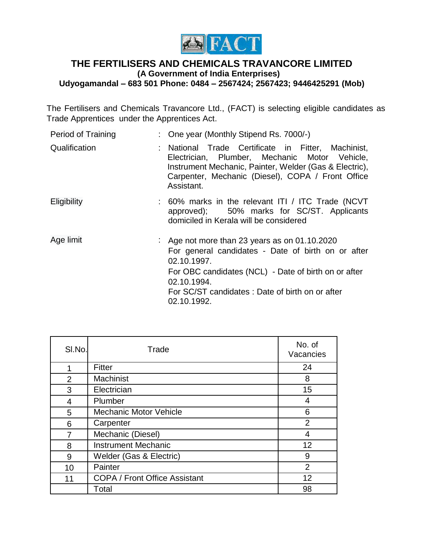

## **THE FERTILISERS AND CHEMICALS TRAVANCORE LIMITED (A Government of India Enterprises) Udyogamandal – 683 501 Phone: 0484 – 2567424; 2567423; 9446425291 (Mob)**

The Fertilisers and Chemicals Travancore Ltd., (FACT) is selecting eligible candidates as Trade Apprentices under the Apprentices Act.

| Period of Training | : One year (Monthly Stipend Rs. 7000/-)                                                                                                                                                                                                                       |  |
|--------------------|---------------------------------------------------------------------------------------------------------------------------------------------------------------------------------------------------------------------------------------------------------------|--|
| Qualification      | : National Trade Certificate in Fitter, Machinist,<br>Electrician, Plumber, Mechanic Motor Vehicle,<br>Instrument Mechanic, Painter, Welder (Gas & Electric),<br>Carpenter, Mechanic (Diesel), COPA / Front Office<br>Assistant.                              |  |
| <b>Eligibility</b> | : 60% marks in the relevant ITI / ITC Trade (NCVT<br>approved); 50% marks for SC/ST. Applicants<br>domiciled in Kerala will be considered                                                                                                                     |  |
| Age limit          | : Age not more than 23 years as on $01.10.2020$<br>For general candidates - Date of birth on or after<br>02.10.1997.<br>For OBC candidates (NCL) - Date of birth on or after<br>02.10.1994.<br>For SC/ST candidates: Date of birth on or after<br>02.10.1992. |  |

| SI.No.         | Trade                                |                |
|----------------|--------------------------------------|----------------|
| 1              | Fitter                               | 24             |
| $\overline{2}$ | <b>Machinist</b>                     | 8              |
| 3              | Electrician                          | 15             |
| $\overline{4}$ | Plumber                              | 4              |
| 5              | <b>Mechanic Motor Vehicle</b>        | 6              |
| 6              | Carpenter                            | $\overline{2}$ |
| 7              | Mechanic (Diesel)                    | 4              |
| 8              | <b>Instrument Mechanic</b>           | 12             |
| 9              | Welder (Gas & Electric)              | 9              |
| 10             | Painter                              | $\overline{2}$ |
| 11             | <b>COPA / Front Office Assistant</b> | 12             |
|                | Total                                | 98             |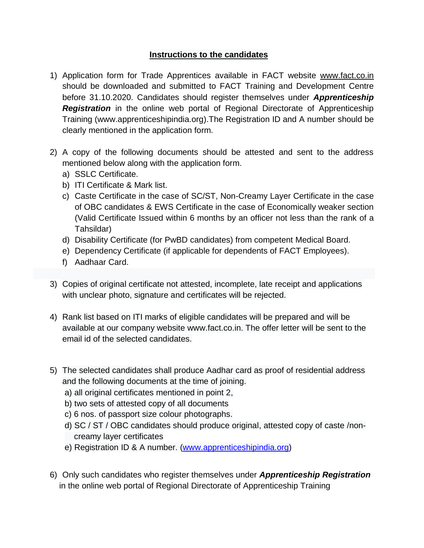## **Instructions to the candidates**

- 1) Application form for Trade Apprentices available in FACT website [www.fact.co.in](http://www.fact.co.in/) should be downloaded and submitted to FACT Training and Development Centre before 31.10.2020. Candidates should register themselves under *Apprenticeship*  **Registration** in the online web portal of Regional Directorate of Apprenticeship Training (www.apprenticeshipindia.org).The Registration ID and A number should be clearly mentioned in the application form.
- 2) A copy of the following documents should be attested and sent to the address mentioned below along with the application form.
	- a) SSLC Certificate.
	- b) ITI Certificate & Mark list.
	- c) Caste Certificate in the case of SC/ST, Non-Creamy Layer Certificate in the case of OBC candidates & EWS Certificate in the case of Economically weaker section (Valid Certificate Issued within 6 months by an officer not less than the rank of a Tahsildar)
	- d) Disability Certificate (for PwBD candidates) from competent Medical Board.
	- e) Dependency Certificate (if applicable for dependents of FACT Employees).
	- f) Aadhaar Card.
- 3) Copies of original certificate not attested, incomplete, late receipt and applications with unclear photo, signature and certificates will be rejected.
- 4) Rank list based on ITI marks of eligible candidates will be prepared and will be available at our company website www.fact.co.in. The offer letter will be sent to the email id of the selected candidates.
- 5) The selected candidates shall produce Aadhar card as proof of residential address and the following documents at the time of joining.
	- a) all original certificates mentioned in point 2,
	- b) two sets of attested copy of all documents
	- c) 6 nos. of passport size colour photographs.
	- d) SC / ST / OBC candidates should produce original, attested copy of caste /non creamy layer certificates
	- e) Registration ID & A number. [\(www.apprenticeshipindia.org\)](http://www.apprenticeshipindia.org/)
- 6) Only such candidates who register themselves under *Apprenticeship Registration* in the online web portal of Regional Directorate of Apprenticeship Training